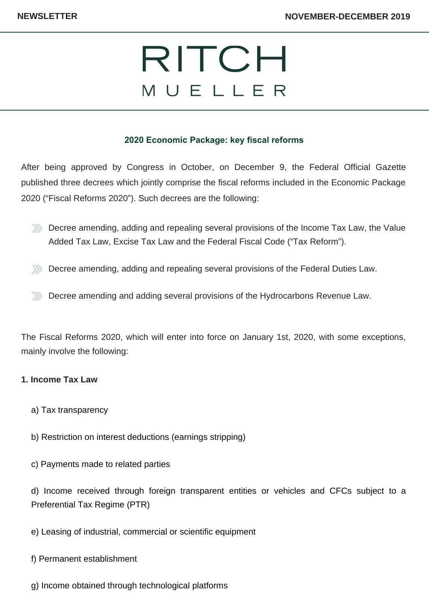# RITCH MUELLER

## **2020 Economic Package: key fiscal reforms**

After being approved by Congress in October, on December 9, the Federal Official Gazette published three decrees which jointly comprise the fiscal reforms included in the Economic Package 2020 ("Fiscal Reforms 2020"). Such decrees are the following:

- $\gg$  Decree amending, adding and repealing several provisions of the Income Tax Law, the Value Added Tax Law, Excise Tax Law and the Federal Fiscal Code ("Tax Reform").
- $\gg$  Decree amending, adding and repealing several provisions of the Federal Duties Law.
- $\gg$  Decree amending and adding several provisions of the Hydrocarbons Revenue Law.

The Fiscal Reforms 2020, which will enter into force on January 1st, 2020, with some exceptions, mainly involve the following:

#### **1. Income Tax Law**

- a) Tax transparency
- b) Restriction on interest deductions (earnings stripping)
- c) Payments made to related parties

d) Income received through foreign transparent entities or vehicles and CFCs subject to a Preferential Tax Regime (PTR)

e) Leasing of industrial, commercial or scientific equipment

f) Permanent establishment

g) Income obtained through technological platforms